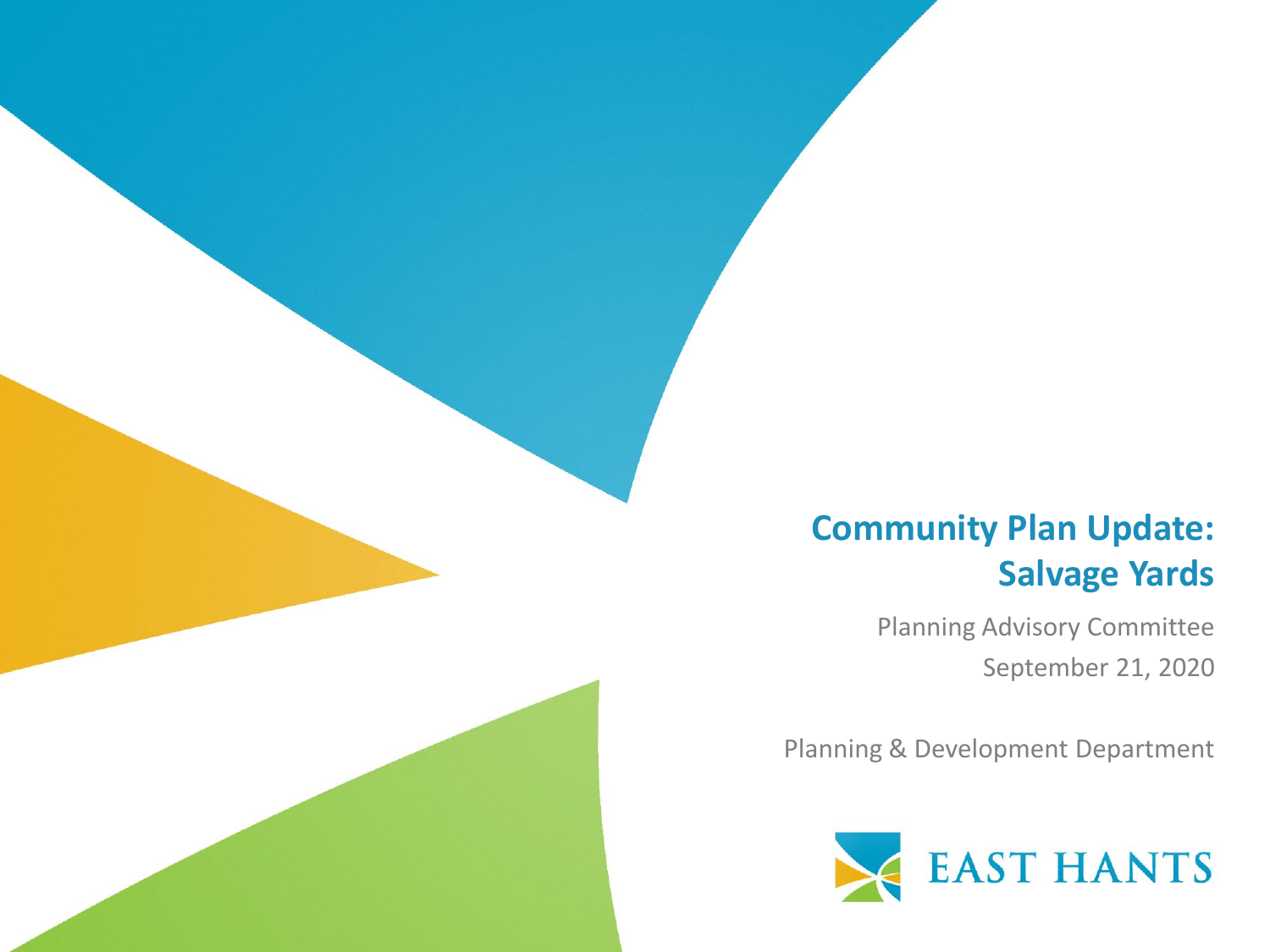#### **Community Plan Update: Salvage Yards**

Planning Advisory Committee September 21, 2020

Planning & Development Department

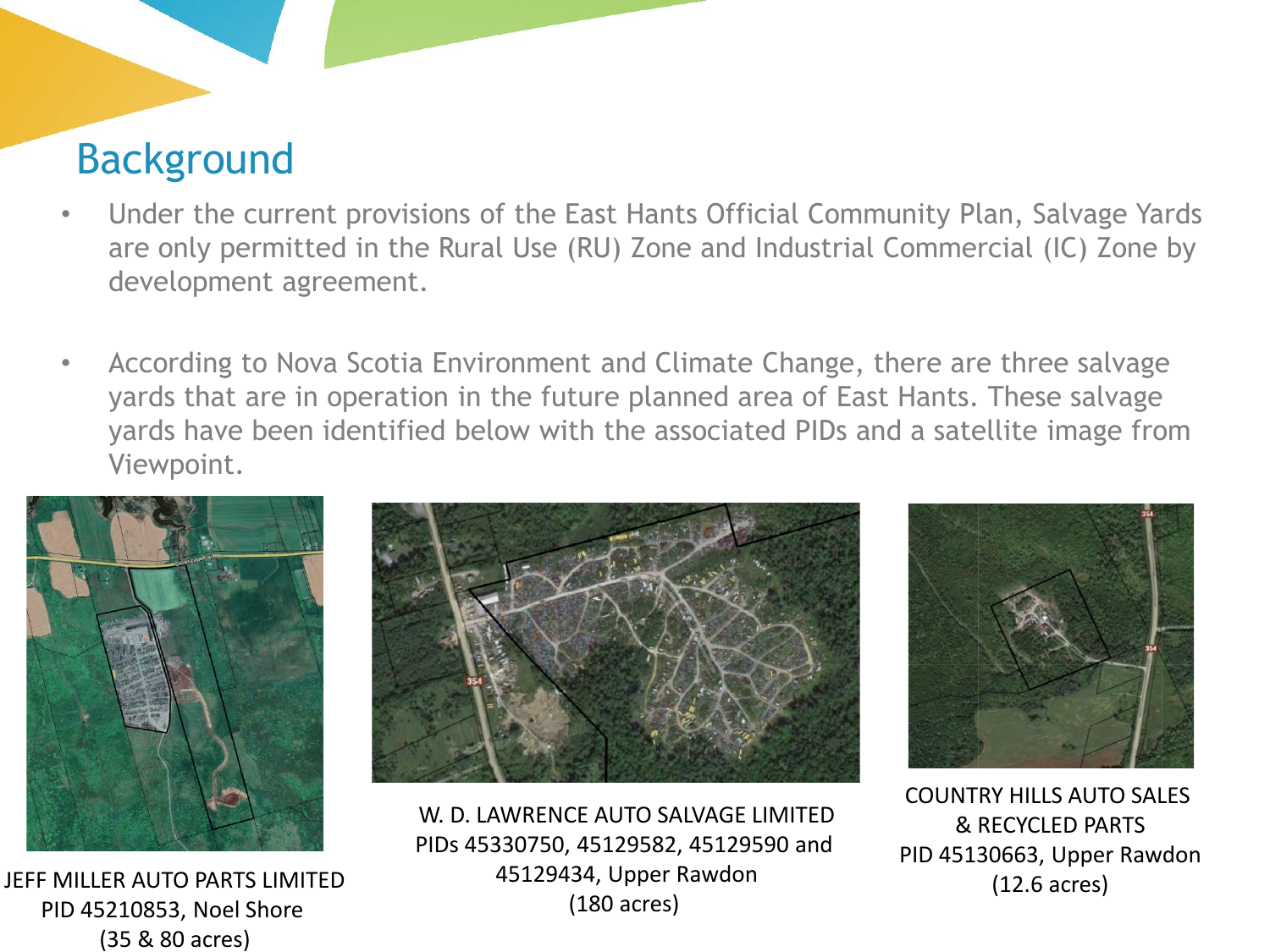## Background

- Under the current provisions of the East Hants Official Community Plan, Salvage Yards are only permitted in the Rural Use (RU) Zone and Industrial Commercial (IC) Zone by development agreement.
- According to Nova Scotia Environment and Climate Change, there are three salvage yards that are in operation in the future planned area of East Hants. These salvage yards have been identified below with the associated PIDs and a satellite image from Viewpoint.



<sup>1</sup> JEFF MILLER AUTO PARTS LIMITED PID 45210853, Noel Shore (35 & 80 acres)



W. D. LAWRENCE AUTO SALVAGE LIMITED PIDs 45330750, 45129582, 45129590 and 45129434, Upper Rawdon (180 acres)



COUNTRY HILLS AUTO SALES & RECYCLED PARTS PID 45130663, Upper Rawdon (12.6 acres)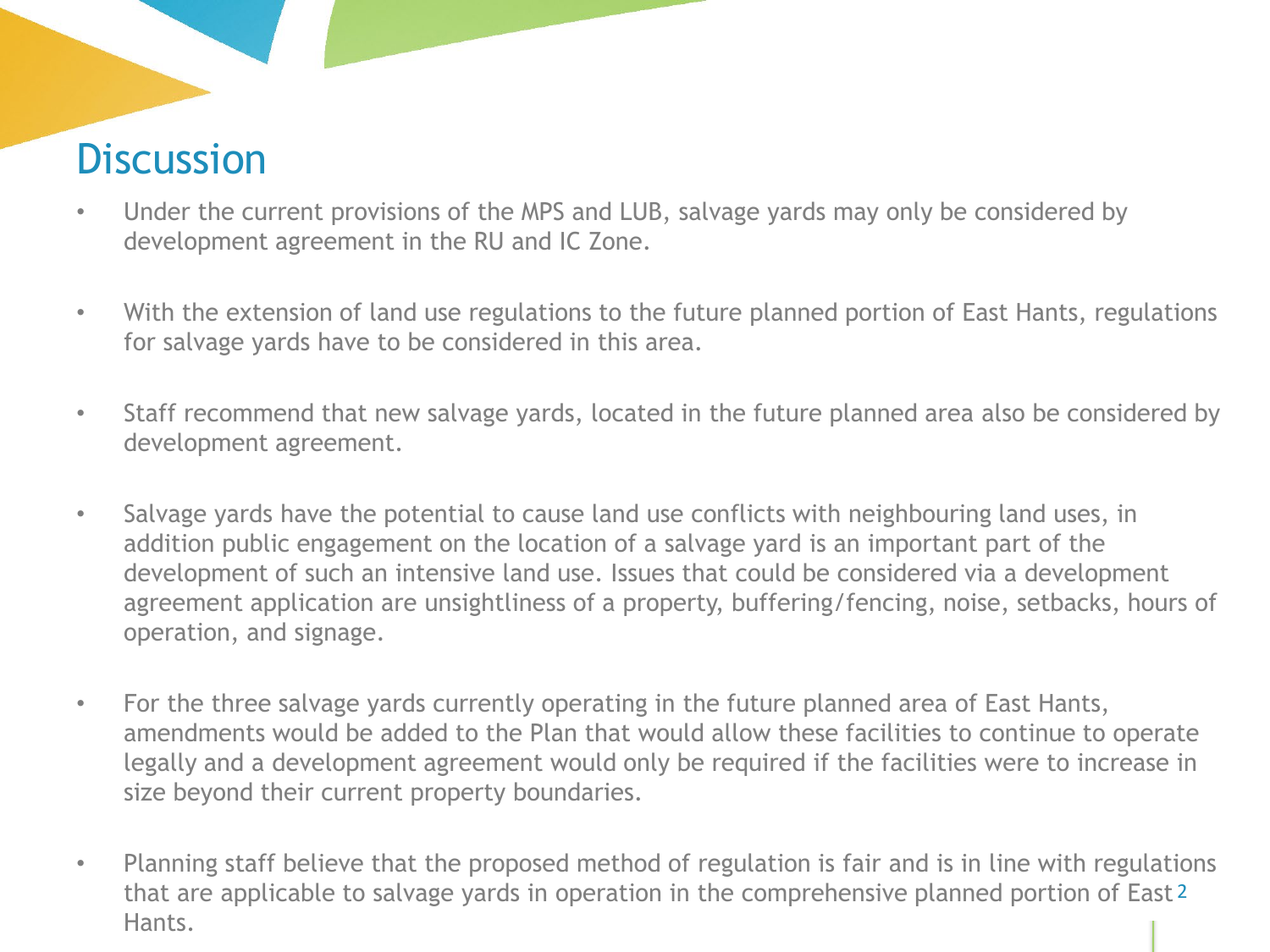# **Discussion**

- Under the current provisions of the MPS and LUB, salvage yards may only be considered by development agreement in the RU and IC Zone.
- With the extension of land use regulations to the future planned portion of East Hants, regulations for salvage yards have to be considered in this area.
- Staff recommend that new salvage yards, located in the future planned area also be considered by development agreement.
- Salvage yards have the potential to cause land use conflicts with neighbouring land uses, in addition public engagement on the location of a salvage yard is an important part of the development of such an intensive land use. Issues that could be considered via a development agreement application are unsightliness of a property, buffering/fencing, noise, setbacks, hours of operation, and signage.
- For the three salvage yards currently operating in the future planned area of East Hants, amendments would be added to the Plan that would allow these facilities to continue to operate legally and a development agreement would only be required if the facilities were to increase in size beyond their current property boundaries.
- Planning staff believe that the proposed method of regulation is fair and is in line with regulations that are applicable to salvage yards in operation in the comprehensive planned portion of East <sup>2</sup> Hants.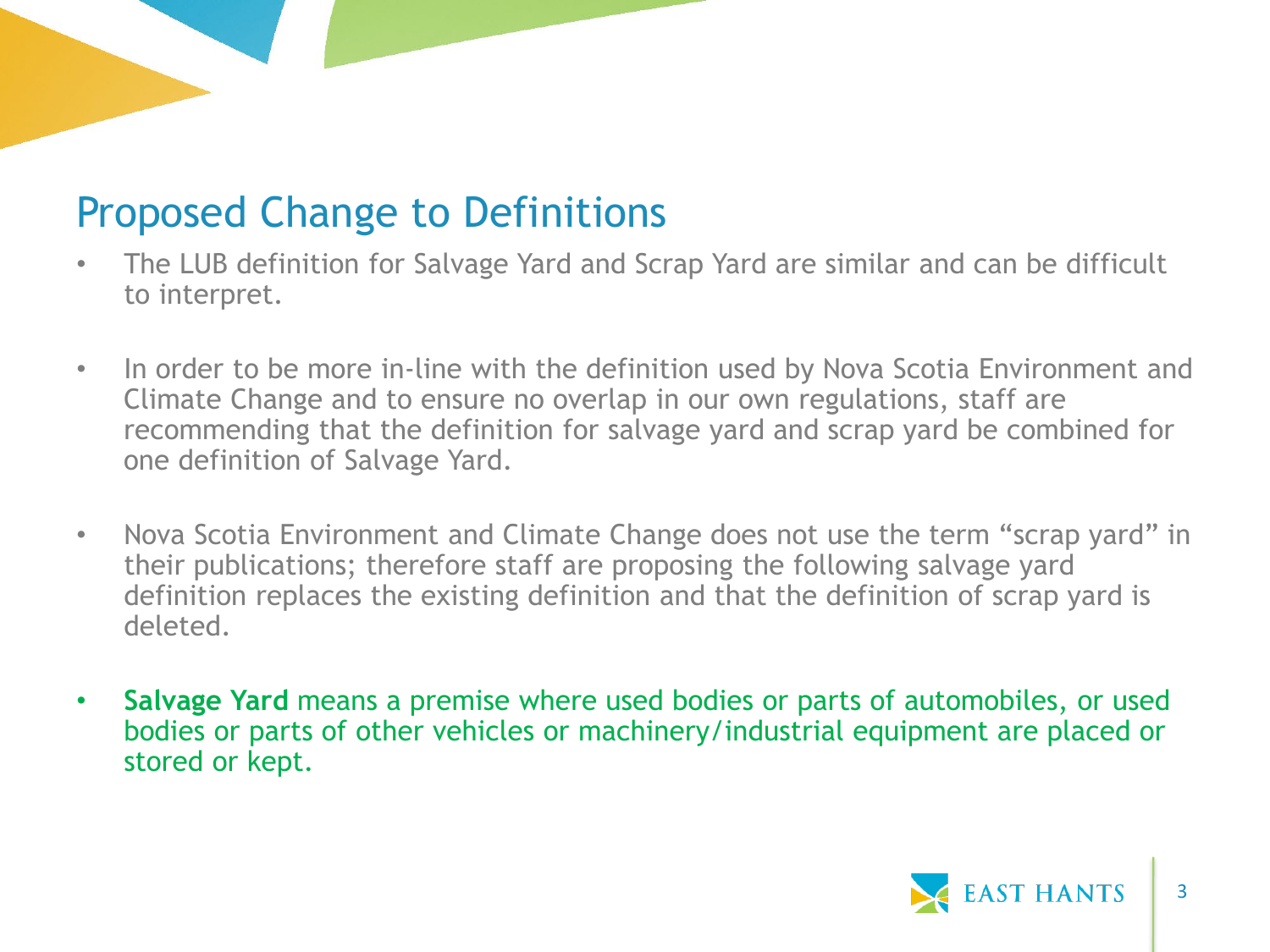## Proposed Change to Definitions

- The LUB definition for Salvage Yard and Scrap Yard are similar and can be difficult to interpret.
- In order to be more in-line with the definition used by Nova Scotia Environment and Climate Change and to ensure no overlap in our own regulations, staff are recommending that the definition for salvage yard and scrap yard be combined for one definition of Salvage Yard.
- Nova Scotia Environment and Climate Change does not use the term "scrap yard" in their publications; therefore staff are proposing the following salvage yard definition replaces the existing definition and that the definition of scrap yard is deleted.
- **Salvage Yard** means a premise where used bodies or parts of automobiles, or used bodies or parts of other vehicles or machinery/industrial equipment are placed or stored or kept.